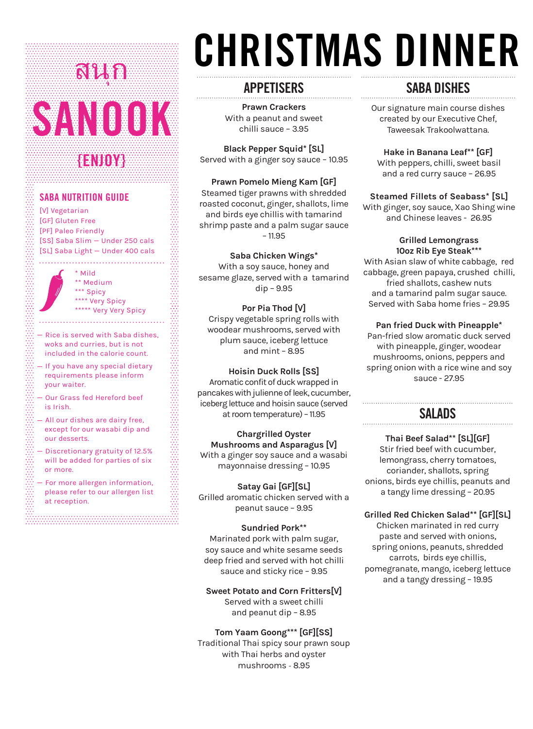## SANOOK **{ENJOY}** สนุก

## **SABA NUTRITION GUIDE**

[V] Vegetarian [GF] Gluten Free [PF] Paleo Friendly [SS] Saba Slim — Under 250 cals [SL] Saba Light — Under 400 cals

> \* Mild \*\* Medium \*\*\* Spicy \*\*\*\* Very Spicy \*\*\*\*\* Very Very Spicy

- $-$  Rice is served with Saba dishes. woks and curries, but is not included in the calorie count.
- $-$  If you have any special dietary requirements please inform your waiter.
- Our Grass fed Hereford beef is Irish.
- All our dishes are dairy free, except for our wasabi dip and our desserts.
- Discretionary gratuity of 12.5% will be added for parties of six or more.
- $-$  For more allergen information, please refer to our allergen list at reception.

# CHRISTMAS DINNER

. . . . . . . . . . . . . . . . . . . .

## **APPETISERS**

. . . . . . . . . . . . . . . . . . .

**Prawn Crackers**  With a peanut and sweet chilli sauce – 3.95

**Black Pepper Squid\* [SL]** Served with a ginger soy sauce – 10.95

## **Prawn Pomelo Mieng Kam [GF]**

Steamed tiger prawns with shredded roasted coconut, ginger, shallots, lime and birds eye chillis with tamarind shrimp paste and a palm sugar sauce – 11.95

## **Saba Chicken Wings\***

With a soy sauce, honey and sesame glaze, served with a tamarind dip – 9.95

## **Por Pia Thod [V]**  Crispy vegetable spring rolls with

woodear mushrooms, served with plum sauce, iceberg lettuce and mint – 8.95

## **Hoisin Duck Rolls [SS]**

Aromatic confit of duck wrapped in pancakes with julienne of leek, cucumber, iceberg lettuce and hoisin sauce (served at room temperature) - 11.95

## **Chargrilled Oyster**

**Mushrooms and Asparagus [V]**  With a ginger soy sauce and a wasabi mayonnaise dressing – 10.95

## **Satay Gai [GF][SL]**

Grilled aromatic chicken served with a peanut sauce – 9.95

## **Sundried Pork\*\***

Marinated pork with palm sugar, soy sauce and white sesame seeds deep fried and served with hot chilli sauce and sticky rice – 9.95

## **Sweet Potato and Corn Fritters[V]**

Served with a sweet chilli and peanut dip – 8.95

## **Tom Yaam Goong\*\*\* [GF][SS]**

Traditional Thai spicy sour prawn soup with Thai herbs and oyster mushrooms - 8.95

## **SABA DISHES**

Our signature main course dishes created by our Executive Chef, Taweesak Trakoolwattana.

#### **Hake in Banana Leaf\*\* [GF]** With peppers, chilli, sweet basil and a red curry sauce – 26.95

## **Steamed Fillets of Seabass\* [SL]**

With ginger, soy sauce, Xao Shing wine and Chinese leaves - 26.95

#### **Grilled Lemongrass 10oz Rib Eye Steak\*\*\***

With Asian slaw of white cabbage, red cabbage, green papaya, crushed chilli, fried shallots, cashew nuts and a tamarind palm sugar sauce. Served with Saba home fries – 29.95

## **Pan fried Duck with Pineapple\***

Pan-fried slow aromatic duck served with pineapple, ginger, woodear mushrooms, onions, peppers and spring onion with a rice wine and soy sauce - 27.95

## **SALADS**

## **Thai Beef Salad\*\* [SL][GF]**  Stir fried beef with cucumber,

lemongrass, cherry tomatoes, coriander, shallots, spring onions, birds eye chillis, peanuts and a tangy lime dressing – 20.95

## **Grilled Red Chicken Salad\*\* [GF][SL]**

Chicken marinated in red curry paste and served with onions, spring onions, peanuts, shredded carrots, birds eye chillis, pomegranate, mango, iceberg lettuce and a tangy dressing – 19.95